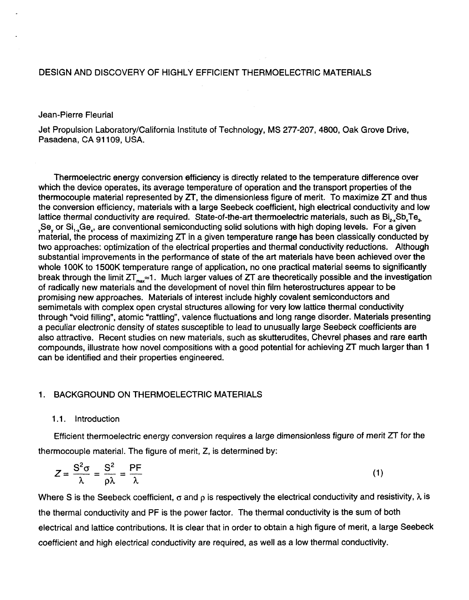# DESIGN AND DISCOVERY OF HIGHLY EFFICIENT THERMOELECTRIC MATERIALS

## Jean-Pierre Fleurial

Jet Propulsion Laboratory/California Institute of Technology, MS **277-207, 4800,** Oak Grove Drive, Pasadena, CA 91 109, USA.

Thermoelectric energy conversion efficiency is directly related to the temperature difference over which the device operates, its average temperature of operation and the transport properties of the thermocouple material represented by *ZT,* the dimensionless figure of merit. To maximize *ZT* and thus the conversion efficiency, materials with a large Seebeck coefficient, high electrical conductivity and low lattice thermal conductivity are required. State-of-the-art thermoelectric materials, such as Bi<sub>2</sub>,Sb,Te<sub>2</sub> material, the process of maximizing *ZT* in a given temperature range has been classically conducted by two approaches: optimization of the electrical properties and thermal conductivity reductions. Although substantial improvements in the performance of state of the art materials have been achieved over the whole 100K to 1500K temperature range of application, no one practical material seems to significantly break through the limit  $ZT_{max} \approx 1$ . Much larger values of  $ZT$  are theoretically possible and the investigation of radically new materials and the development of novel thin film heterostructures appear to be promising new approaches. Materials of interest include highly covalent semiconductors and semimetals with complex open crystal structures allowing for very low lattice thermal conductivity through "void filling", atomic "rattling", valence fluctuations and long range disorder. Materials presenting a peculiar electronic density of states susceptible to lead to unusually large Seebeck coefficients are also attractive. Recent studies on new materials, such as skutterudites, Chevrel phases and rare earth compounds, illustrate how novel compositions with a good potential for achieving *ZT* much larger than 1 can be identified and their properties engineered. **<sup>Y</sup>**Se, or Si,-,Ge,, are conventional semiconducting solid solutions with high doping levels. For a given

## 1. BACKGROUND ON THERMOELECTRIC MATERIALS

#### 1.1. Introduction

Efficient thermoelectric energy conversion requires a large dimensionless figure of merit *ZT* for the thermocouple material. The figure of merit, *Z,* is determined by:

$$
Z = \frac{S^2 \sigma}{\lambda} = \frac{S^2}{\rho \lambda} = \frac{PF}{\lambda}
$$
 (1)

Where S is the Seebeck coefficient,  $\sigma$  and  $\rho$  is respectively the electrical conductivity and resistivity,  $\lambda$  is the thermal conductivity and PF is the power factor. The thermal conductivity is the sum of both electrical and lattice contributions. It is clear that in order to obtain a high figure of merit, a large Seebeck coefficient and high electrical conductivity are required, as well as a low thermal conductivity.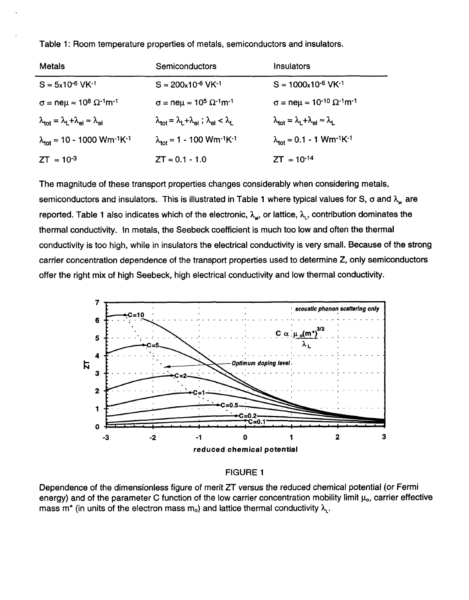<span id="page-1-0"></span>Table 1 : Room temperature properties of metals, semiconductors and insulators.

| <b>Metals</b>                                                                                 | Semiconductors                                                                                                 | Insulators                                                                                   |  |
|-----------------------------------------------------------------------------------------------|----------------------------------------------------------------------------------------------------------------|----------------------------------------------------------------------------------------------|--|
| $S \approx 5x10^{-6}$ VK $^{-1}$                                                              | $S \approx 200 \times 10^{-6}$ VK $^{-1}$                                                                      | $S \approx 1000 \times 10^{-6}$ VK <sup>-1</sup>                                             |  |
| $\sigma$ = ne $\mu \approx 10^8 \Omega^{-1}$ m <sup>-1</sup>                                  | $\sigma$ = neµ ≈ 10 <sup>5</sup> $\Omega$ <sup>-1</sup> m <sup>-1</sup>                                        | $\sigma$ = ne $\mu$ = 10 <sup>-10</sup> $\Omega$ <sup>-1</sup> m <sup>-1</sup>               |  |
| $\lambda_{\text{tot}} = \lambda_{\text{L}} + \lambda_{\text{el}} \approx \lambda_{\text{el}}$ | $\lambda_{\text{tot}} = \lambda_{\text{L}} + \lambda_{\text{el}}$ ; $\lambda_{\text{el}} < \lambda_{\text{L}}$ | $\lambda_{\text{tot}} = \lambda_{\text{L}} + \lambda_{\text{el}} \approx \lambda_{\text{L}}$ |  |
| $\lambda_{\text{tot}} \approx 10 - 1000 \text{ Wm}^{-1} \text{K}^{-1}$                        | $\lambda_{\text{tot}} \approx 1 - 100 \text{ Wm}^{-1} \text{K}^{-1}$                                           | $\lambda_{\text{tot}} \approx 0.1 - 1$ Wm <sup>-1</sup> K <sup>-1</sup>                      |  |
| $ZT \approx 10^{-3}$                                                                          | $ZT \approx 0.1 - 1.0$                                                                                         | $ZT \approx 10^{-14}$                                                                        |  |

The magnitude of these transport properties changes considerably when considering metals, semiconductors and insulators. This is illustrated in Table 1 where typical values for S,  $\sigma$  and  $\lambda$ , are reported. Table 1 also indicates which of the electronic,  $\lambda_{\rm st}$ , or lattice,  $\lambda_{\rm t}$ , contribution dominates the thermal conductivity. In metals, the Seebeck coefficient **is** much too low and often the thermal conductivity is too high, while in insulators the electrical conductivity is very small. Because of the strong carrier concentration dependence of the transport properties used to determine *Z,* only semiconductors offer the right mix of high Seebeck, high electrical conductivity and low thermal conductivity.



# FIGURE 1

Dependence of the dimensionless figure of merit *ZT* versus the reduced chemical potential (or Fermi energy) and of the parameter C function of the low carrier concentration mobility limit  $\mu_0$ , carrier effective mass m<sup>\*</sup> (in units of the electron mass m<sub>o</sub>) and lattice thermal conductivity  $\lambda_{\iota}$ .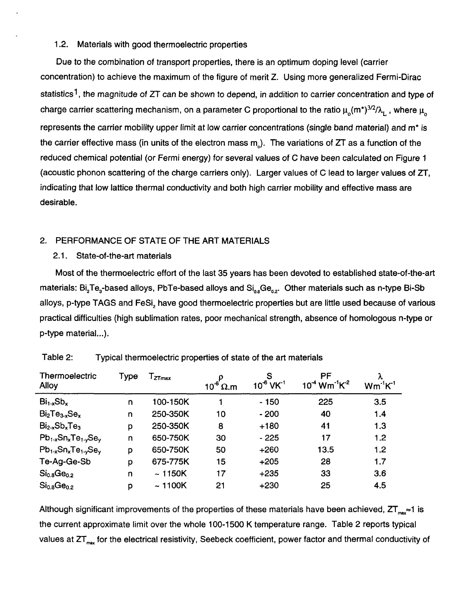# 1.2. Materials with good thermoelectric properties

Due to the combination of transport properties, there is an optimum doping level (carrier concentration) to achieve the maximum of the figure of merit Z. Using more generalized Fermi-Dirac statistics1 , the magnitude *of* ZT can be shown to depend, in addition to carrier concentration and type of charge carrier scattering mechanism, on a parameter C proportional to the ratio  $\mu_o(m^*)^{3/2}/\lambda_n$ , where  $\mu_o$ represents the carrier mobility upper limit at low carrier concentrations (single band material) and m<sup>\*</sup> is the carrier effective mass (in units of the electron mass m<sub>a</sub>). The variations of ZT as a function of the reduced chemical potential (or Fermi energy) for several values of C have been calculated on [Figure 1](#page-1-0) (acoustic phonon scattering of the charge carriers only). Larger values of C lead to larger values of *ZT,*  indicating that low lattice thermal conductivity and both high carrier mobility and effective mass are desirable.

# 2. PERFORMANCE OF STATE OF THE ART MATERIALS

## 2.1. State-of-the-art materials

Most of the thermoelectric effort of the last **35** years has been devoted to established state-of-the-art materials: Bi<sub>2</sub>Te<sub>3</sub>-based alloys, PbTe-based alloys and Si<sub>08</sub>Ge<sub>02</sub>. Other materials such as n-type Bi-Sb alloys, p-type TAGS and FeSi, have good thermoelectric properties but are little used because of various practical difficulties (high sublimation rates, poor mechanical strength, absence of homologous n-type or p-type material...).

| Thermoelectric<br>Alloy                                               | Type         | $I_{ZTmax}$ | $10^{-6}$ $\Omega$ .m | $10^{6}$ VK <sup>-1</sup> | PF<br>$10^4$ Wm <sup>-1</sup> K <sup>-2</sup> | Λ.<br>$Wm^{-1}K^{-1}$ |
|-----------------------------------------------------------------------|--------------|-------------|-----------------------|---------------------------|-----------------------------------------------|-----------------------|
| $Bi_{1-x}Sb_x$                                                        | n            | 100-150K    |                       | $-150$                    | 225                                           | 3.5                   |
| $Bi2Te3-xSex$                                                         | n            | 250-350K    | 10                    | $-200$                    | 40                                            | 1.4                   |
| $Bi_{2-x}Sb_xTe_3$                                                    | p            | 250-350K    | 8                     | $+180$                    | 41                                            | 1.3                   |
| $Pb_1$ <sub>x</sub> Sn <sub>x</sub> Te <sub>1-y</sub> Se <sub>v</sub> | $\mathsf{n}$ | 650-750K    | 30                    | $-225$                    | 17                                            | 1.2                   |
| $Pb_1$ <sub>x</sub> Sn <sub>x</sub> Te <sub>1-y</sub> Se <sub>v</sub> | p            | 650-750K    | 50                    | $+260$                    | 13.5                                          | 1.2                   |
| Te-Ag-Ge-Sb                                                           | p            | 675-775K    | 15                    | $+205$                    | 28                                            | 1.7                   |
| Si <sub>0.8</sub> Ge <sub>0.2</sub>                                   | n            | $~-$ 1150K  | 17                    | $+235$                    | 33                                            | 3.6                   |
| $Si_{0.8}Ge_{0.2}$                                                    | p            | ~1100K      | 21                    | $+230$                    | 25                                            | 4.5                   |

| Table 2: | Typical thermoelectric properties of state of the art materials |
|----------|-----------------------------------------------------------------|
|----------|-----------------------------------------------------------------|

Although significant improvements of the properties of these materials have been achieved,  $2T_{max} \approx 1$  is the current approximate limit over the whole 100-1500 K temperature range. Table 2 reports typical values at ZT<sub>max</sub> for the electrical resistivity, Seebeck coefficient, power factor and thermal conductivity of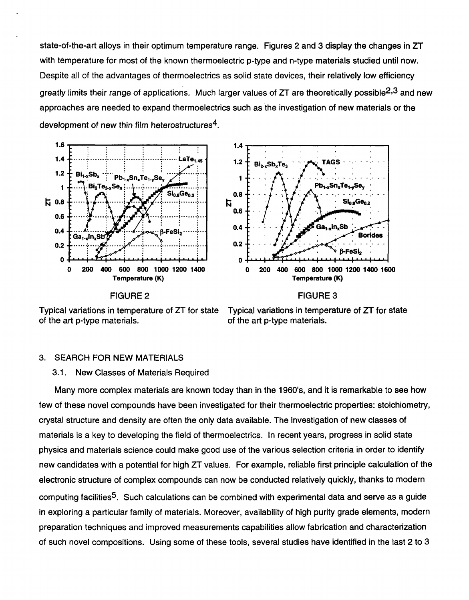state-of-the-art alloys in their optimum temperature range. Figures *2* and 3 display the changes in ZT with temperature for most of the known thermoelectric p-type and n-type materials studied until now. Despite all of the advantages of thermoelectrics as solid state devices, their relatively low efficiency greatly limits their range of applications. Much larger values of *ZT* are theoretically possible2,3 and new approaches are needed to expand thermoelectrics such as the investigation of new materials or the development of new thin film heterostructures<sup>4</sup>.





FIGURE *2* 

FIGURE 3

Typical variations in temperature of ZT for state of the art p-type materials.

Typical variations in temperature of *ZT* for state of the art p-type materials.

# 3. SEARCH FOR NEW MATERIALS

# 3.1. New Classes of Materials Required

Many more complex materials are known today than in the 1960's, and it is remarkable to see how few of these novel compounds have been investigated for their thermoelectric properties: stoichiometry, crystal structure and density are often the only data available. The investigation of new classes of materials is a key to developing the field of thermoelectrics. In recent years, progress in solid state physics and materials science could make good use of the various selection criteria in order to identify new candidates with a potential for high *ZT* values. For example, reliable first principle calculation of the electronic structure of complex compounds can now be conducted relatively quickly, thanks to modern computing facilities5. Such calculations can be combined with experimental data and serve as a guide in exploring a particular family of materials. Moreover, availability of high purity grade elements, modern preparation techniques and improved measurements capabilities allow fabrication and characterization of such novel compositions. Using some of these tools, several studies have identified in the last *2* to 3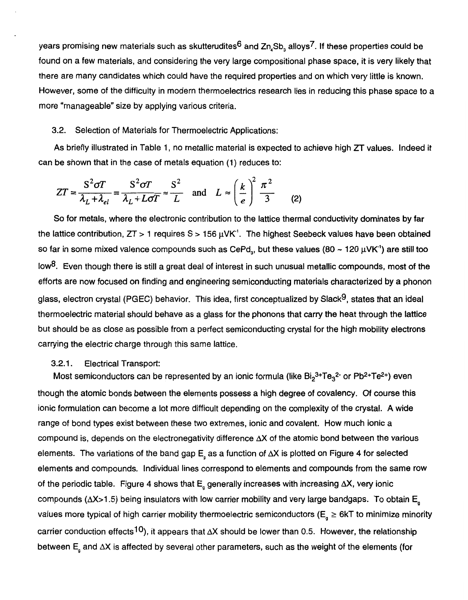years promising new materials such as skutterudites<sup>6</sup> and  $Zn_ASb_A$  alloys<sup>7</sup>. If these properties could be found on a few materials, and considering the very large compositional phase space, it is very likely that there are many candidates which could have the required properties and on which very little is known. However, some of the difficulty in modern thermoelectrics research lies in reducing this phase space to a more "manageable" size by applying various criteria.

## **3.2.** Selection of Materials for Thermoelectric Applications:

**As** briefly illustrated in Table 1, no metallic material is expected to achieve high *ZT* values. Indeed it can be shown that in the case of metals equation **(1)** reduces to:

$$
ZT = \frac{S^2 \sigma T}{\lambda_L + \lambda_{el}} = \frac{S^2 \sigma T}{\lambda_L + L \sigma T} \approx \frac{S^2}{L} \quad \text{and} \quad L \approx \left(\frac{k}{e}\right)^2 \frac{\pi^2}{3} \tag{2}
$$

So for metals, where the electronic contribution to the lattice thermal conductivity dominates by far the lattice contribution,  $ZT > 1$  requires  $S > 156 \mu$ VK<sup>1</sup>. The highest Seebeck values have been obtained so far in some mixed valence compounds such as CePd<sub>a</sub>, but these values  $(80 \sim 120 \,\mu\text{V/K}^1)$  are still too Iow<sup>8</sup>. Even though there is still a great deal of interest in such unusual metallic compounds, most of the efforts are now focused on finding and engineering semiconducting materials characterized by a phonon glass, electron crystal (PGEC) behavior. This idea, first conceptualized by Slack<sup>9</sup>, states that an ideal thermoelectric material should behave as a glass for the phonons that carry the heat through the lattice but should be as close as possible from a perfect semiconducting crystal for the high mobility electrons carrying the electric charge through this same lattice.

# **3.2.1.** Electrical Transport:

Most semiconductors can be represented by an ionic formula (like  $Bi_2^{3+}Te_3^{2-}$  or Pb<sup>2+</sup>Te<sup>2+</sup>) even though the atomic bonds between the elements possess **a** high degree of covalency. Of course this ionic formulation can become a lot more difficult depending on the complexity of the crystal. **A** wide range of bond types exist between these two extremes, ionic and covalent. How much ionic a compound is, depends on the electronegativity difference **AX** of the atomic bond between the various elements. The variations of the band gap E, as a function of AX is plotted on [Figure](#page-5-0) **4** for selected elements and compounds. Individual lines correspond to elements and compounds from the same row of the periodic table. [Figure](#page-5-0) **4** shows that E, generally increases with increasing **AX,** very ionic compounds ( $\Delta$ X>1.5) being insulators with low carrier mobility and very large bandgaps. To obtain E<sub>s</sub> values more typical of high carrier mobility thermoelectric semiconductors ( $E_a \ge 6kT$  to minimize minority carrier conduction effects<sup>10</sup>), it appears that  $\Delta X$  should be lower than 0.5. However, the relationship between E<sub>g</sub> and  $\Delta X$  is affected by several other parameters, such as the weight of the elements (for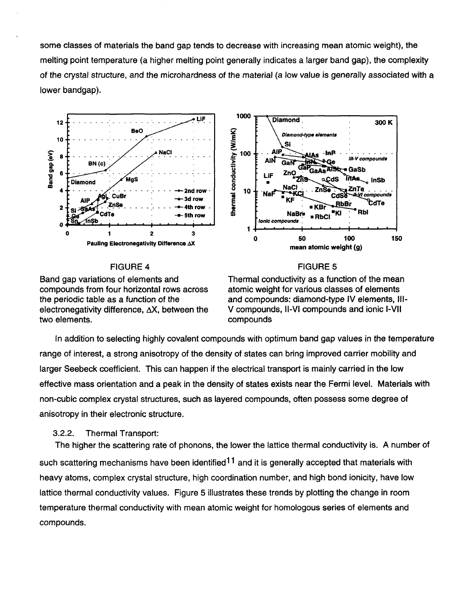<span id="page-5-0"></span>some classes of materials the band gap tends to decrease with increasing mean atomic weight), the melting point temperature (a higher melting point generally indicates a larger band gap), the complexity of the crystal structure, and the microhardness of the material (a low value is generally associated with a lower bandgap).





### FIGURE **4**

FIGURE *5* 

Band gap variations of elements and compounds from four horizontal rows across the periodic table as a function of the electronegativity difference,  $\Delta X$ , between the two elements.

Thermal conductivity as a function of the mean atomic weight for various classes of elements and compounds: diamond-type IV elements, **111-**  V compounds, **Il-VI** compounds and ionic **I-VI1**  compounds

In addition to selecting highly covalent compounds with optimum band gap values in the temperature range of interest, a strong anisotropy of the density of states can bring improved carrier mobility and larger Seebeck coefficient. This can happen if the electrical transport is mainly carried in the low effective mass orientation and a peak in the density of states exists near the Fermi level. Materials with non-cubic complex crystal structures, such as layered compounds, often possess some degree of anisotropy in their electronic structure.

# *3.2.2.* Thermal Transport:

The higher the scattering rate of phonons, the lower the lattice thermal conductivity is. **A** number of such scattering mechanisms have been identified<sup>11</sup> and it is generally accepted that materials with heavy atoms, complex crystal structure, high coordination number, and high bond ionicity, have low lattice thermal conductivity values. Figure *5* illustrates these trends by plotting the change in room temperature thermal conductivity with mean atomic weight for homologous series of elements and compounds.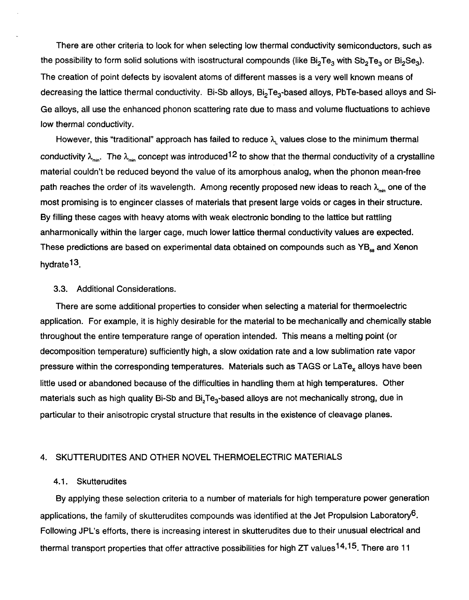There are other criteria to look for when selecting low thermal conductivity semiconductors, such as the possibility to form solid solutions with isostructural compounds (like  $Bi_2Te_3$  with  $Sb_2Te_3$  or  $Bi_2Se_3$ ). The creation of point defects by isovalent atoms of different masses is a very well known means of decreasing the lattice thermal conductivity. Bi-Sb alloys, Bi<sub>2</sub>Te<sub>3</sub>-based alloys, PbTe-based alloys and Si-Ge alloys, all use the enhanced phonon scattering rate due to mass and volume fluctuations to achieve low thermal conductivity.

However, this "traditional" approach has failed to reduce *h,* values close to the minimum thermal conductivity  $\lambda_{\text{max}}$ . The  $\lambda_{\text{max}}$  concept was introduced<sup>12</sup> to show that the thermal conductivity of a crystalline material couldn't be reduced beyond the value of its amorphous analog, when the phonon mean-free path reaches the order of its wavelength. Among recently proposed new ideas to reach  $\lambda_{\text{max}}$  one of the most promising is to engineer classes of materials that present large voids or cages in their structure. By filling these cages with heavy atoms with weak electronic bonding to the lattice but rattling anharmonically within the larger cage, much lower lattice thermal conductivity values are expected. These predictions are based on experimental data obtained on compounds such as **YB,** and Xenon hydrate13.

# 3.3. Additional Considerations.

There are some additional properties to consider when selecting a material for thermoelectric application. For example, it is highly desirable for the material to be mechanically and chemically stable throughout the entire temperature range of operation intended. This means a melting point (or decomposition temperature) sufficiently high, a slow oxidation rate and a low sublimation rate vapor pressure within the corresponding temperatures. Materials such as TAGS or LaTe<sub>x</sub> alloys have been little used or abandoned because of the difficulties in handling them at high temperatures. Other materials such as high quality Bi-Sb and Bi<sub>2</sub>Te<sub>3</sub>-based alloys are not mechanically strong, due in particular to their anisotropic crystal structure that results in the existence of cleavage planes.

## 4. SKUTTERUDITES AND OTHER NOVEL THERMOELECTRIC MATERIALS

# 4.1. Skutterudites

By applying these selection criteria to a number of materials for high temperature power generation applications, the family of skutterudites compounds was identified at the Jet Propulsion Laboratory<sup>6</sup>. Following JPL's efforts, there is increasing interest in skutterudites due to their unusual electrical and thermal transport properties that offer attractive possibilities for high ZT values<sup>14,15</sup>. There are 11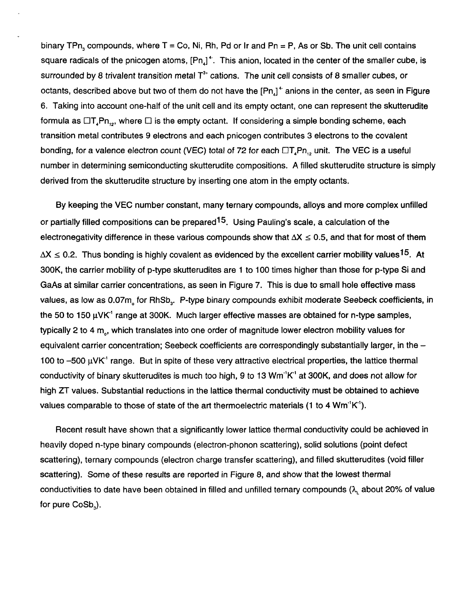binary TPn, compounds, where T = Co, Ni, Rh, Pd or Ir and Pn = P, **As** or Sb. The unit cell contains square radicals of the pnicogen atoms,  $[Ph]$ <sup>+</sup>. This anion, located in the center of the smaller cube, is surrounded by 8 trivalent transition metal T<sup>3+</sup> cations. The unit cell consists of 8 smaller cubes, or octants, described above but two of them do not have the  $[Ph]$ <sup>+</sup> anions in the center, as seen in Figure *[6.](#page-8-0)* Taking into account one-half of the unit cell and its empty octant, one can represent the skutterudite formula as  $\Box T_A P_{n_{1,2}}$ , where  $\Box$  is the empty octant. If considering a simple bonding scheme, each transition metal contributes 9 electrons and each pnicogen contributes **3** electrons to the covalent bonding, for a valence electron count (VEC) total of 72 for each  $\Box T_{n}Pn_{n}$ , unit. The VEC is a useful number in determining semiconducting skutterudite compositions. **A** filled skutterudite structure is simply derived from the skutterudite structure by inserting one atom in the empty octants.

By keeping the VEC number constant, many ternary compounds, alloys and more complex unfilled or partially filled compositions can be prepared  $15$ . Using Pauling's scale, a calculation of the electronegativity difference in these various compounds show that  $\Delta X \leq 0.5$ , and that for most of them  $\Delta X \leq 0.2$ . Thus bonding is highly covalent as evidenced by the excellent carrier mobility values<sup>15</sup>. At **300K,** the carrier mobility of p-type skutterudites are 1 to 100 times higher than those for p-type Si and GaAs at similar carrier concentrations, as seen in Figure 7. This is due to small hole effective mass values, as low as 0.07m, for RhSb,. P-type binary compounds exhibit moderate Seebeck coefficients, in the 50 to 150 μVK<sup>-1</sup> range at 300K. Much larger effective masses are obtained for n-type samples, typically 2 to 4 m<sub>o</sub>, which translates into one order of magnitude lower electron mobility values for equivalent carrier concentration; Seebeck coefficients are correspondingly substantially larger, in the -100 to  $-500 \mu$ VK $^{\prime}$  range. But in spite of these very attractive electrical properties, the lattice thermal conductivity of binary skutterudites is much too high, 9 to **13** Wm"K1 at **300K,** and does not allow for high *ZT* values. Substantial reductions in the lattice thermal conductivity must be obtained to achieve values comparable to those of state of the art thermoelectric materials (1 to **4** Wm"K').

Recent result have shown that a significantly lower lattice thermal conductivity could be achieved in heavily doped n-type binary compounds (electron-phonon scattering), solid solutions (point defect scattering), ternary compounds (electron charge transfer scattering), and filled skutterudites (void filler scattering). Some of these results are reported in Figure *8,* and show that the lowest thermal conductivities to date have been obtained in filled and unfilled ternary compounds **(1,** about 20% of value for pure CoSb,).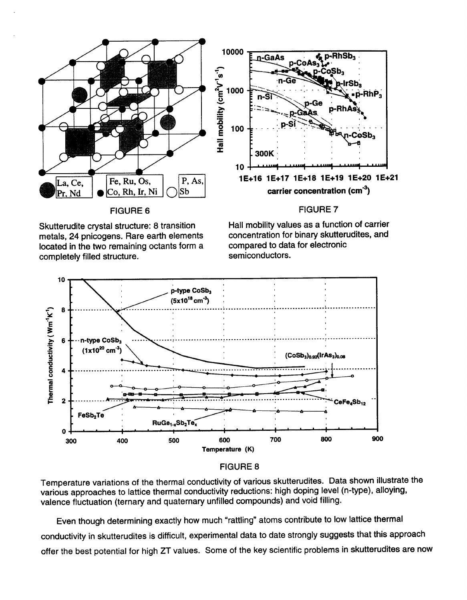<span id="page-8-0"></span>



located in the two remaining octants form a compared to data completely filled structure completely filled structure.

Skutterudite crystal structure: 8 transition Hall mobility values as a function of carrier<br>metals, 24 pnicogens, Rare earth elements concentration for binary skutterudites, and concentration for binary skutterudites, and<br>compared to data for electronic



# FIGURE **8**

Temperature variations of the thermal conductivity of various skutterudites. Data shown illustrate the various approaches to lattice thermal conductivity reductions: high doping level (n-type), alloying, valence fluctuation (ternary and quaternary unfilled compounds) and void filling.

Even though determining exactly how much "rattling" atoms contribute to low lattice thermal conductivity in skutterudites is difficult, experimental data to date strongly suggests that this approach offer the best potential for high ZT values. Some of the key scientific problems in skutterudites are now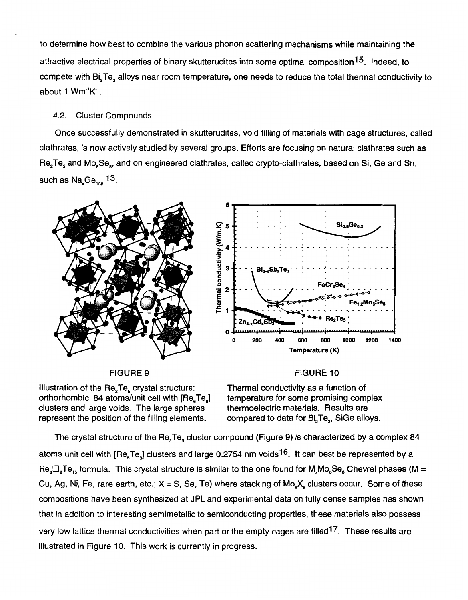<span id="page-9-0"></span>to determine how best to combine the various phonon scattering mechanisms while maintaining the attractive electrical properties of binary skutterudites into some optimal composition1 **5.** Indeed, to compete with Bi,Te, alloys near room temperature, one needs to reduce the total thermal conductivity to about 1 Wm"K'.

# **4.2.** Cluster Compounds

Once successfully demonstrated in skutterudites, void filling of materials with cage structures, called clathrates, is now actively studied by several groups. Efforts are focusing on natural clathrates such as  $\mathsf{Re_2Te}_\mathrm{s}$  and  $\mathsf{Mo}_\mathrm{s}\mathsf{Se}_\mathrm{s}$ , and on engineered clathrates, called crypto-clathrates, based on Si, Ge and Sn, such as  $Na_{,Ge_{136}}$ <sup>13</sup>.



FIGURE 9

Illustration of the  $\text{Re}_2 \text{Te}_5$  crystal structure: orthorhombic, 84 atoms/unit cell with  $[Re_{\epsilon}Te_{\epsilon}]$  temperature for some promising comp<br>clusters and large voids. The large spheres thermoelectric materials. Results are clusters and large voids. The large spheres represent the position of the filling elements.

Thermal conductivity as a function of compared to data for Bi<sub>2</sub>Te<sub>3</sub>, SiGe alloys.

FIGURE 10

The crystal structure of the Re,Te, cluster compound (Figure 9) is characterized by a complex 84 atoms unit cell with  $[Re_{\alpha}Te_{\alpha}]$  clusters and large 0.2754 nm voids<sup>16</sup>. It can best be represented by a  $\text{Re}_{\text{s}}\Box_2\text{Te}_{15}$  formula. This crystal structure is similar to the one found for  $\text{M}_{x}\text{Mo}_{\text{s}}\text{Se}_{\text{a}}$  Chevrel phases (M = Cu, Ag, Ni, Fe, rare earth, etc.;  $X = S$ , Se, Te) where stacking of Mo<sub>s</sub> $X_s$  clusters occur. Some of these compositions have been synthesized at JPL and experimental data on fully dense samples has shown that in addition to interesting semimetallic to semiconducting properties, these materials also possess very low lattice thermal conductivities when part or the empty cages are filled<sup>17</sup>. These results are illustrated in Figure 10. This work is currently in progress.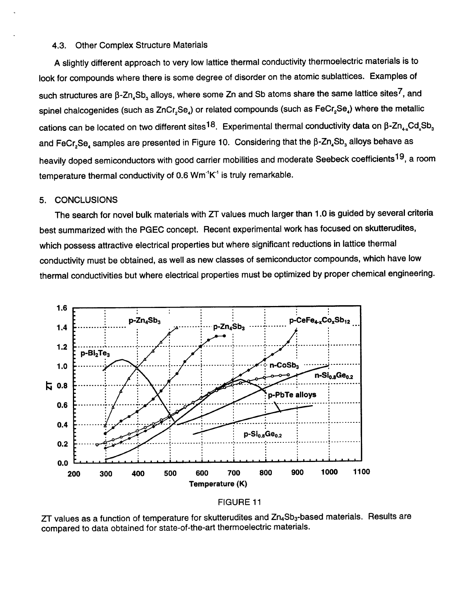## <span id="page-10-0"></span>**4.3.** Other Complex Structure Materials

**<sup>A</sup>**slightly different approach to very low lattice thermal conductivity thermoelectric materials is to look for compounds where there is some degree of disorder on the atomic sublattices. Examples of such structures are  $\beta$ -Zn<sub>4</sub>Sb<sub>3</sub> alloys, where some Zn and Sb atoms share the same lattice sites<sup>7</sup>, and spinel chalcogenides (such as ZnCr<sub>2</sub>Se<sub>4</sub>) or related compounds (such as FeCr<sub>2</sub>Se<sub>4</sub>) where the metallic cations can be located on two different sites<sup>18</sup>. Experimental thermal conductivity data on  $\beta$ -Zn<sub>4</sub>,Cd,Sb<sub>3</sub> and FeCr<sub>2</sub>Se<sub>4</sub> samples are presented in [Figure 10.](#page-9-0) Considering that the  $\beta$ -Zn<sub>4</sub>Sb<sub>3</sub> alloys behave as heavily doped semiconductors with good carrier mobilities and moderate Seebeck coefficients<sup>19</sup>, a room temperature thermal conductivity of *0.6* Wm"K' is truly remarkable.

### **5.** CONCLUSIONS

The search for novel bulk materials with *ZT* values much larger than 1 *.O* is guided by several criteria best summarized with the PGEC concept. Recent experimental work has focused on skutterudites, which possess attractive electrical properties but where significant reductions in lattice thermal conductivity must be obtained, as well as new classes of semiconductor compounds, which have low thermal conductivities but where electrical properties must be optimized by proper chemical engineering.



# FIGURE 11

ZT values as a function of temperature for skutterudites and Zn<sub>4</sub>Sb<sub>3</sub>-based materials. Results are compared to data obtained for state-of-the-art thermoelectric materials.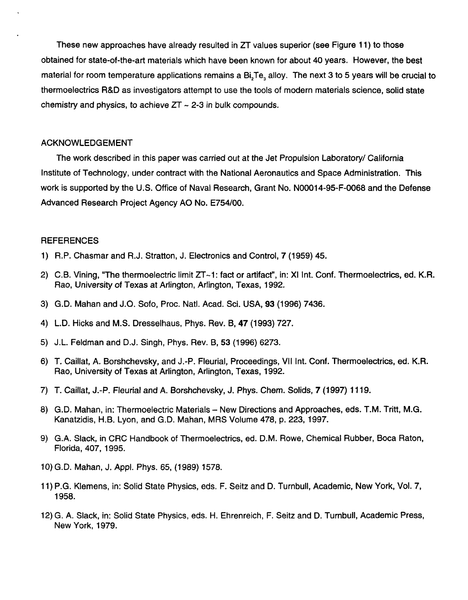These new approaches have already resulted in *ZT* values superior (see [Figure](#page-10-0) **11)** to those obtained for state-of-the-art materials which have been known for about **40** years. However, the best material for room temperature applications remains a Bi,Te, alloy. The next **3** to *5* years will be crucial to thermoelectrics R&D as investigators attempt to use the tools of modern materials science, solid state chemistry and physics, to achieve *ZT* - **2-3** in bulk compounds.

# ACKNOWLEDGEMENT

The work described in this paper was carried out at the Jet Propulsion Laboratory/ California Institute of Technology, under contract with the National Aeronautics and Space Administration. This work is supported by the U.S. Office of Naval Research, Grant No. **N00014-95-F-0068** and the Defense Advanced Research Project Agency A0 No. **E754/00.** 

# **REFERENCES**

- **1)** R.P. Chasmar and R.J. Stratton, J. Electronics and Control, **7 (1959) 45.**
- *2)* C.B. Vining, "The thermoelectric limit **ZT-1:** fact or artifact", in: XI Int. Conf. Thermoelectrics, ed. K.R. Rao, University of Texas at Arlington, Arlington, Texas, **1992.**
- **3)** G.D. Mahan and J.O. Sofo, Proc. Natl. Acad. Sci. USA, **93 (1996) 7436.**
- **4)** L.D. Hicks and M.S. Dresselhaus, Phys. Rev. B, **47 (1993) 727.**
- *5)* J.L. Feldman and D.J. Singh, Phys. Rev. B, **53 (1996) 6273.**
- **6)** T. Caillat, **A.** Borshchevsky, and J.-P. Fleurial, Proceedings, VI1 Int. Conf. Thermoelectrics, ed. K.R. Rao, University of Texas at Arlington, Arlington, Texas, **1992.**
- **7)** T. Caillat, J.-P. Fleurial and A. Borshchevsky, J. Phys. Chem. Solids, **7 (1997) 11 19.**
- 8) G.D. Mahan, in: Thermoelectric Materials New Directions and Approaches, eds. T.M. Tritt, M.G. Kanatzidis, H.B. Lyon, and G.D. Mahan, MRS Volume **478,** p. **223, 1997.**
- **9)** G.A. Slack, in CRC Handbook of Thermoelectrics, ed. D.M. Rowe, Chemical Rubber, Boca Raton, Florida, **407, 1995.**
- **10)** G.D. Mahan, J. Appl. Phys. **65, (1 989) 1578.**
- **11)** P.G. Klemens, in: Solid State Physics, eds. F. Seitz and D. Turnbull, Academic, New York, Vol. **7, 1958.**
- **12)** G. A. Slack, in: Solid State Physics, eds. H. Ehrenreich, F. Seitz and D. Turnbull, Academic Press, New York, **1979.**